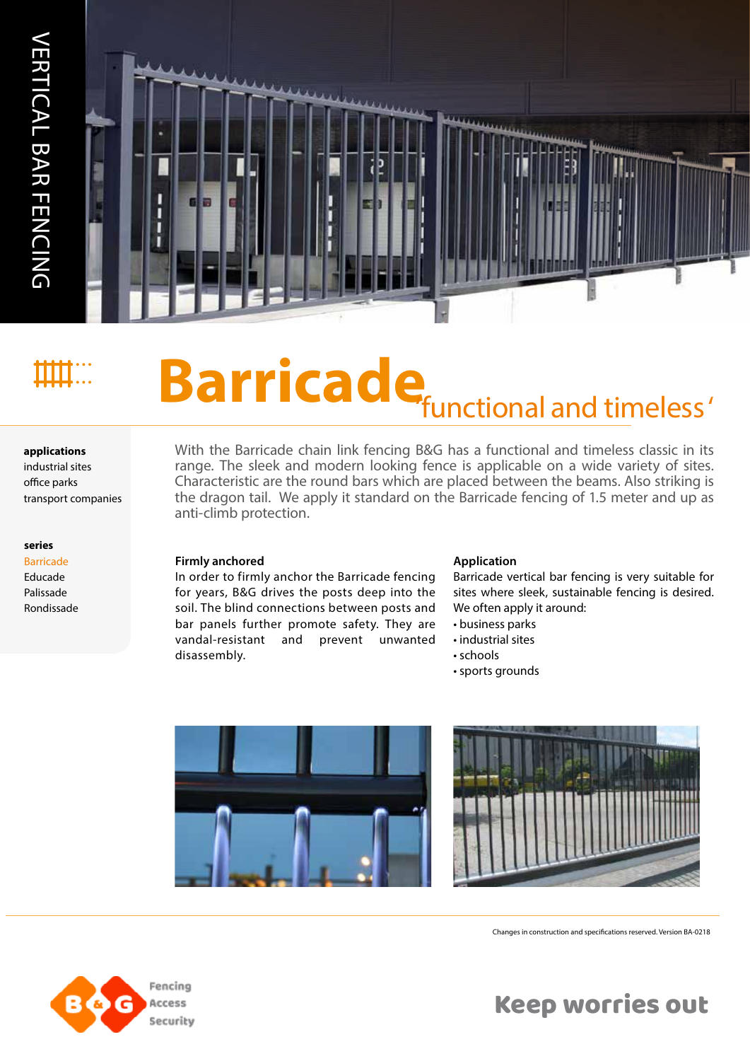

# **Barricade functional and timeless'**

#### **applications**

industrial sites office parks

#### **series**

Barricade Educade Palissade Rondissade

# With the Barricade chain link fencing B&G has a functional and timeless classic in its

range. The sleek and modern looking fence is applicable on a wide variety of sites. Characteristic are the round bars which are placed between the beams. Also striking is the dragon tail. We apply it standard on the Barricade fencing of 1.5 meter and up as anti-climb protection.

#### **Firmly anchored**

In order to firmly anchor the Barricade fencing for years, B&G drives the posts deep into the soil. The blind connections between posts and bar panels further promote safety. They are vandal-resistant and prevent unwanted disassembly.

#### **Application**

Barricade vertical bar fencing is very suitable for sites where sleek, sustainable fencing is desired. We often apply it around:

- business parks
- industrial sites
- schools
- sports grounds





Changes in construction and specifications reserved. Version BA-0218



Keep worries out